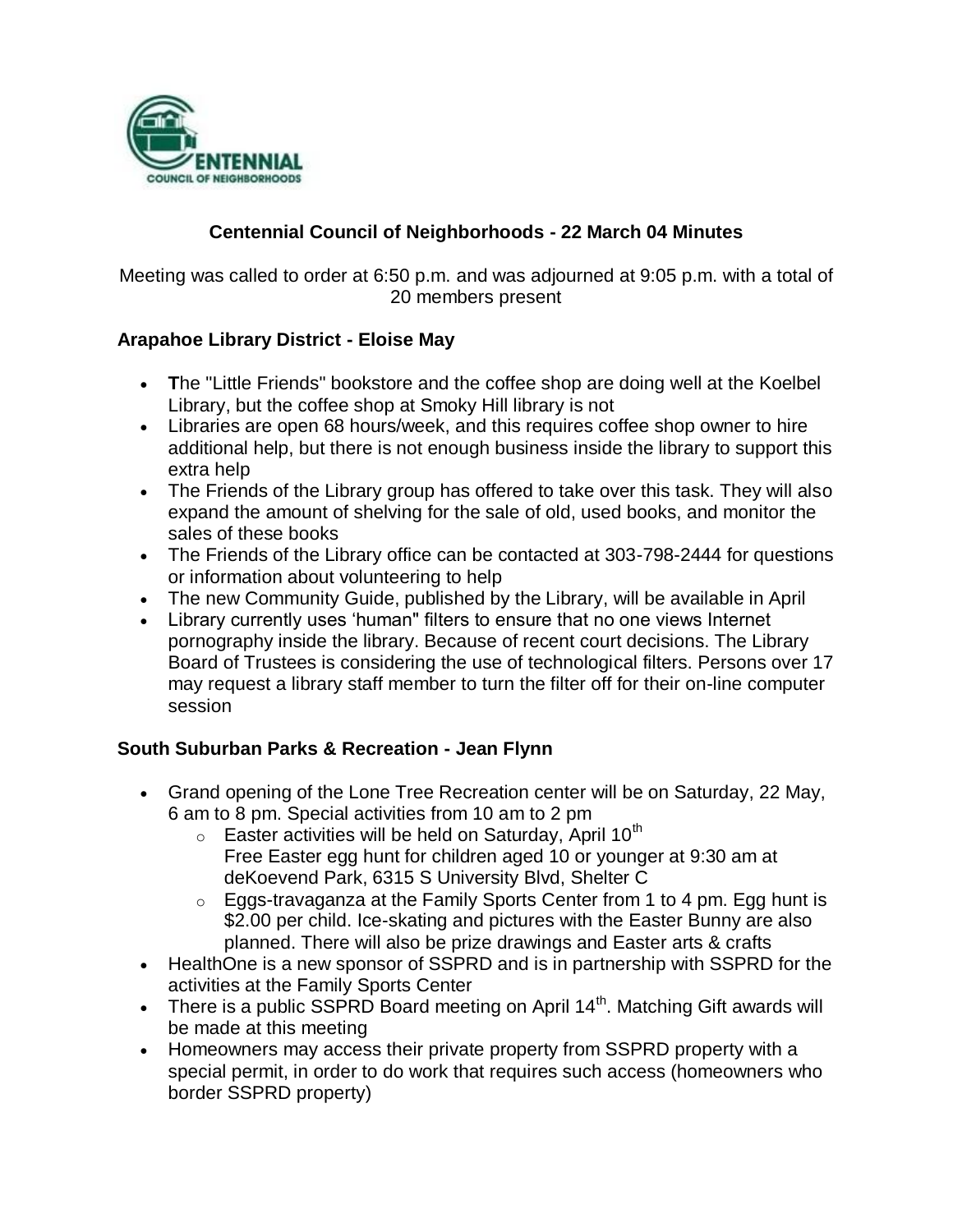

# **Centennial Council of Neighborhoods - 22 March 04 Minutes**

Meeting was called to order at 6:50 p.m. and was adjourned at 9:05 p.m. with a total of 20 members present

# **Arapahoe Library District - Eloise May**

- **T**he "Little Friends" bookstore and the coffee shop are doing well at the Koelbel Library, but the coffee shop at Smoky Hill library is not
- Libraries are open 68 hours/week, and this requires coffee shop owner to hire additional help, but there is not enough business inside the library to support this extra help
- The Friends of the Library group has offered to take over this task. They will also expand the amount of shelving for the sale of old, used books, and monitor the sales of these books
- The Friends of the Library office can be contacted at 303-798-2444 for questions or information about volunteering to help
- The new Community Guide, published by the Library, will be available in April
- Library currently uses 'human" filters to ensure that no one views Internet pornography inside the library. Because of recent court decisions. The Library Board of Trustees is considering the use of technological filters. Persons over 17 may request a library staff member to turn the filter off for their on-line computer session

# **South Suburban Parks & Recreation - Jean Flynn**

- Grand opening of the Lone Tree Recreation center will be on Saturday, 22 May, 6 am to 8 pm. Special activities from 10 am to 2 pm
	- $\circ$  Easter activities will be held on Saturday, April 10<sup>th</sup> Free Easter egg hunt for children aged 10 or younger at 9:30 am at deKoevend Park, 6315 S University Blvd, Shelter C
	- $\circ$  Eggs-travaganza at the Family Sports Center from 1 to 4 pm. Egg hunt is \$2.00 per child. Ice-skating and pictures with the Easter Bunny are also planned. There will also be prize drawings and Easter arts & crafts
- HealthOne is a new sponsor of SSPRD and is in partnership with SSPRD for the activities at the Family Sports Center
- There is a public SSPRD Board meeting on April  $14<sup>th</sup>$ . Matching Gift awards will be made at this meeting
- Homeowners may access their private property from SSPRD property with a special permit, in order to do work that requires such access (homeowners who border SSPRD property)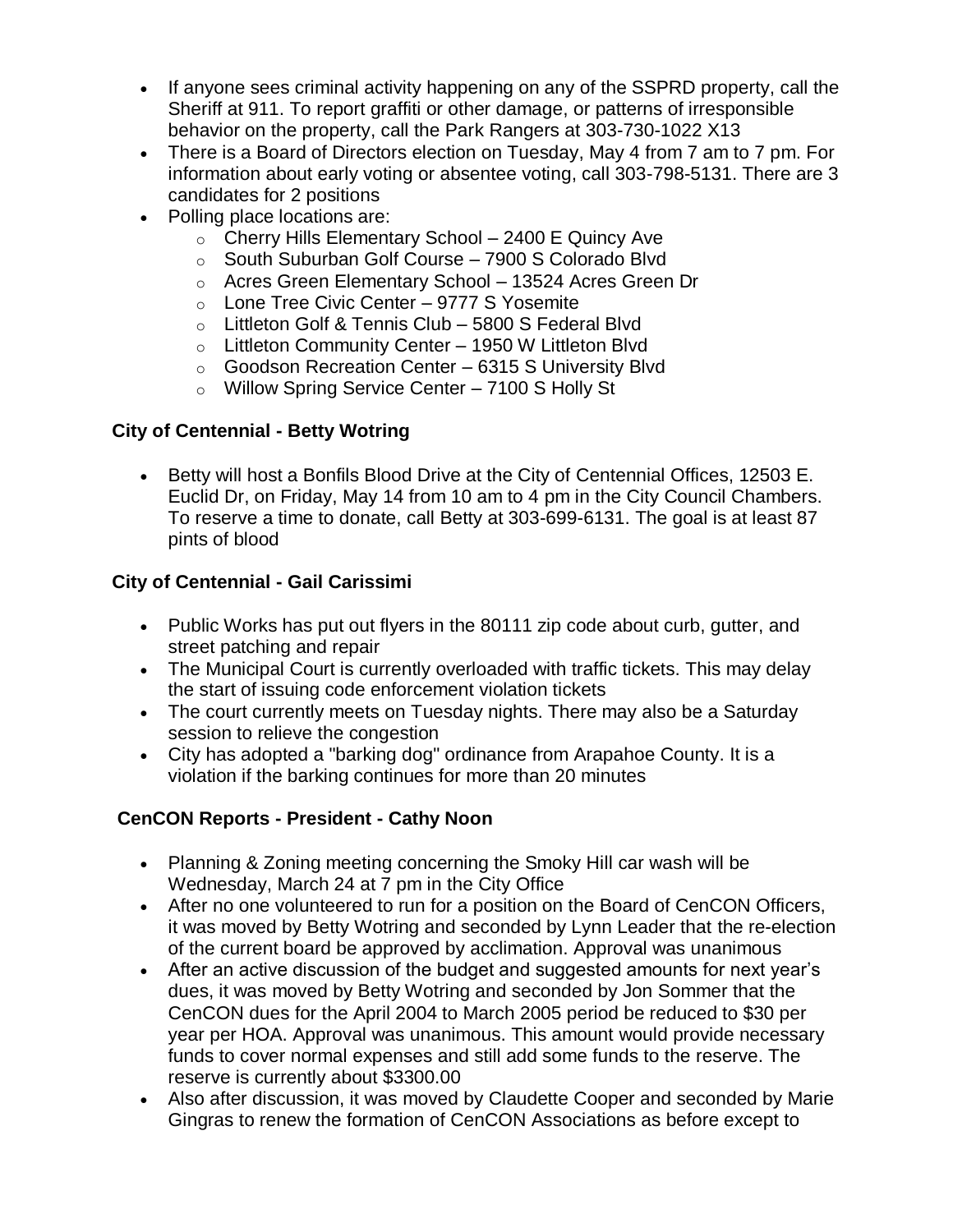- If anyone sees criminal activity happening on any of the SSPRD property, call the Sheriff at 911. To report graffiti or other damage, or patterns of irresponsible behavior on the property, call the Park Rangers at 303-730-1022 X13
- There is a Board of Directors election on Tuesday, May 4 from 7 am to 7 pm. For information about early voting or absentee voting, call 303-798-5131. There are 3 candidates for 2 positions
- Polling place locations are:
	- $\circ$  Cherry Hills Elementary School 2400 E Quincy Ave
	- o South Suburban Golf Course 7900 S Colorado Blvd
	- o Acres Green Elementary School 13524 Acres Green Dr
	- $\circ$  Lone Tree Civic Center 9777 S Yosemite
	- o Littleton Golf & Tennis Club 5800 S Federal Blvd
	- o Littleton Community Center 1950 W Littleton Blvd
	- o Goodson Recreation Center 6315 S University Blvd
	- o Willow Spring Service Center 7100 S Holly St

#### **City of Centennial - Betty Wotring**

• Betty will host a Bonfils Blood Drive at the City of Centennial Offices, 12503 E. Euclid Dr, on Friday, May 14 from 10 am to 4 pm in the City Council Chambers. To reserve a time to donate, call Betty at 303-699-6131. The goal is at least 87 pints of blood

# **City of Centennial - Gail Carissimi**

- Public Works has put out flyers in the 80111 zip code about curb, gutter, and street patching and repair
- The Municipal Court is currently overloaded with traffic tickets. This may delay the start of issuing code enforcement violation tickets
- The court currently meets on Tuesday nights. There may also be a Saturday session to relieve the congestion
- City has adopted a "barking dog" ordinance from Arapahoe County. It is a violation if the barking continues for more than 20 minutes

# **CenCON Reports - President - Cathy Noon**

- Planning & Zoning meeting concerning the Smoky Hill car wash will be Wednesday, March 24 at 7 pm in the City Office
- After no one volunteered to run for a position on the Board of CenCON Officers, it was moved by Betty Wotring and seconded by Lynn Leader that the re-election of the current board be approved by acclimation. Approval was unanimous
- After an active discussion of the budget and suggested amounts for next year's dues, it was moved by Betty Wotring and seconded by Jon Sommer that the CenCON dues for the April 2004 to March 2005 period be reduced to \$30 per year per HOA. Approval was unanimous. This amount would provide necessary funds to cover normal expenses and still add some funds to the reserve. The reserve is currently about \$3300.00
- Also after discussion, it was moved by Claudette Cooper and seconded by Marie Gingras to renew the formation of CenCON Associations as before except to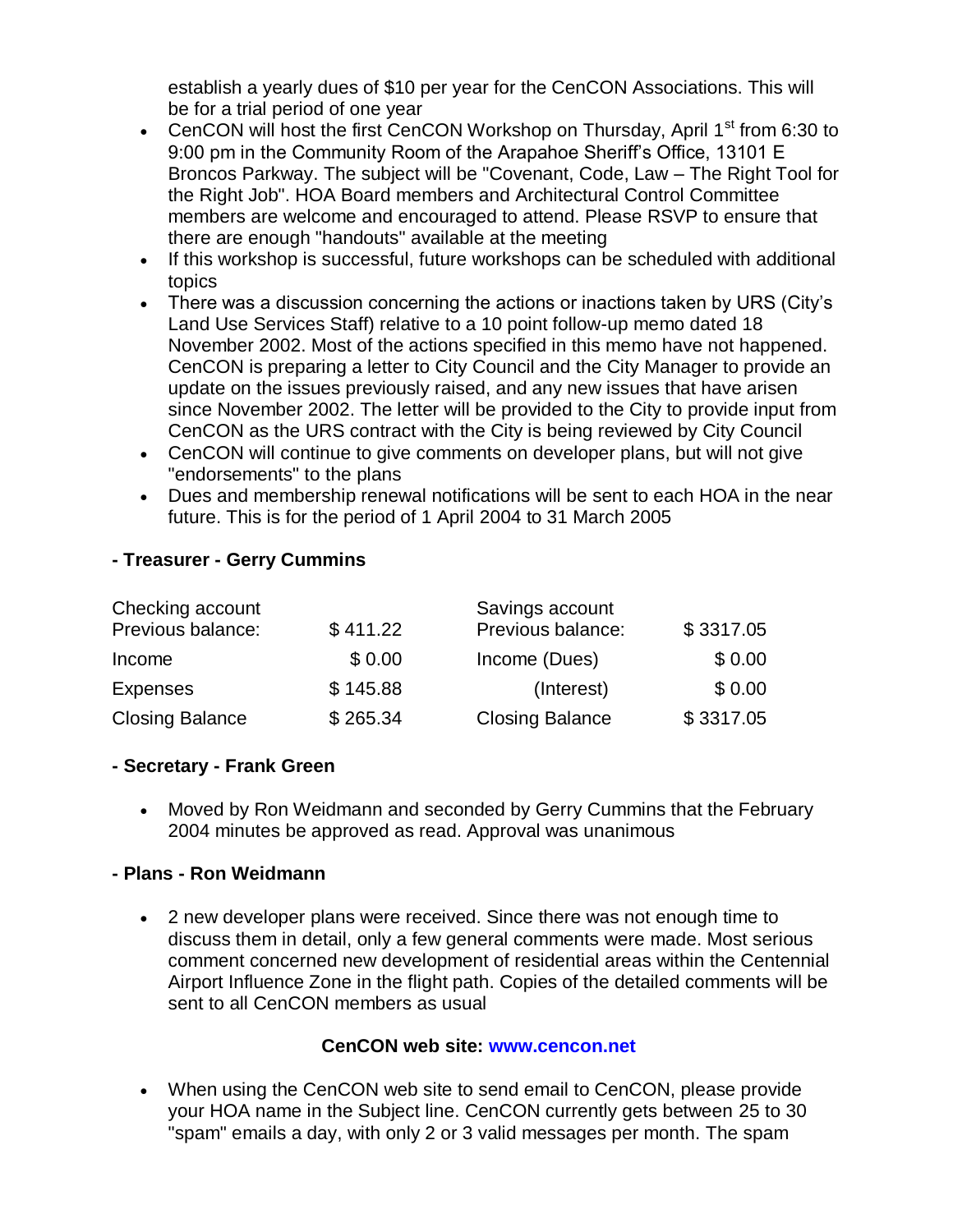establish a yearly dues of \$10 per year for the CenCON Associations. This will be for a trial period of one year

- CenCON will host the first CenCON Workshop on Thursday, April 1<sup>st</sup> from 6:30 to 9:00 pm in the Community Room of the Arapahoe Sheriff's Office, 13101 E Broncos Parkway. The subject will be "Covenant, Code, Law – The Right Tool for the Right Job". HOA Board members and Architectural Control Committee members are welcome and encouraged to attend. Please RSVP to ensure that there are enough "handouts" available at the meeting
- If this workshop is successful, future workshops can be scheduled with additional topics
- There was a discussion concerning the actions or inactions taken by URS (City's Land Use Services Staff) relative to a 10 point follow-up memo dated 18 November 2002. Most of the actions specified in this memo have not happened. CenCON is preparing a letter to City Council and the City Manager to provide an update on the issues previously raised, and any new issues that have arisen since November 2002. The letter will be provided to the City to provide input from CenCON as the URS contract with the City is being reviewed by City Council
- CenCON will continue to give comments on developer plans, but will not give "endorsements" to the plans
- Dues and membership renewal notifications will be sent to each HOA in the near future. This is for the period of 1 April 2004 to 31 March 2005

# **- Treasurer - Gerry Cummins**

| Checking account       |          | Savings account        |           |
|------------------------|----------|------------------------|-----------|
| Previous balance:      | \$411.22 | Previous balance:      | \$3317.05 |
| Income                 | \$0.00   | Income (Dues)          | \$0.00    |
| <b>Expenses</b>        | \$145.88 | (Interest)             | \$0.00    |
| <b>Closing Balance</b> | \$265.34 | <b>Closing Balance</b> | \$3317.05 |

#### **- Secretary - Frank Green**

 Moved by Ron Weidmann and seconded by Gerry Cummins that the February 2004 minutes be approved as read. Approval was unanimous

# **- Plans - Ron Weidmann**

 2 new developer plans were received. Since there was not enough time to discuss them in detail, only a few general comments were made. Most serious comment concerned new development of residential areas within the Centennial Airport Influence Zone in the flight path. Copies of the detailed comments will be sent to all CenCON members as usual

# **CenCON web site: www.cencon.net**

 When using the CenCON web site to send email to CenCON, please provide your HOA name in the Subject line. CenCON currently gets between 25 to 30 "spam" emails a day, with only 2 or 3 valid messages per month. The spam